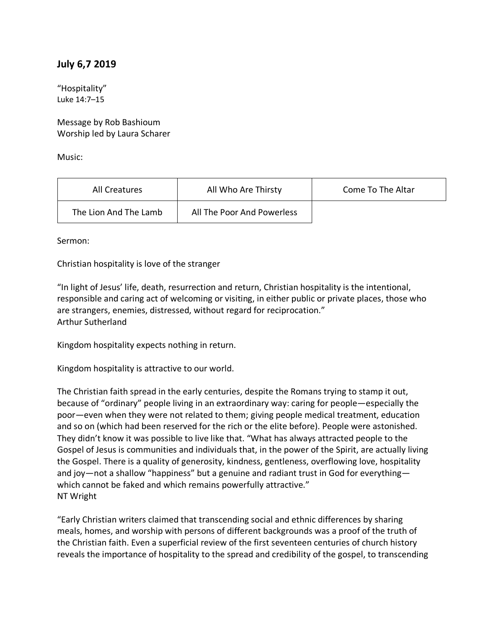## **July 6,7 2019**

"Hospitality" Luke 14:7–15

Message by Rob Bashioum Worship led by Laura Scharer

Music:

| All Creatures         | All Who Are Thirsty        | Come To The Altar |
|-----------------------|----------------------------|-------------------|
| The Lion And The Lamb | All The Poor And Powerless |                   |

Sermon:

Christian hospitality is love of the stranger

"In light of Jesus' life, death, resurrection and return, Christian hospitality is the intentional, responsible and caring act of welcoming or visiting, in either public or private places, those who are strangers, enemies, distressed, without regard for reciprocation." Arthur Sutherland

Kingdom hospitality expects nothing in return.

Kingdom hospitality is attractive to our world.

The Christian faith spread in the early centuries, despite the Romans trying to stamp it out, because of "ordinary" people living in an extraordinary way: caring for people—especially the poor—even when they were not related to them; giving people medical treatment, education and so on (which had been reserved for the rich or the elite before). People were astonished. They didn't know it was possible to live like that. "What has always attracted people to the Gospel of Jesus is communities and individuals that, in the power of the Spirit, are actually living the Gospel. There is a quality of generosity, kindness, gentleness, overflowing love, hospitality and joy—not a shallow "happiness" but a genuine and radiant trust in God for everything which cannot be faked and which remains powerfully attractive." NT Wright

"Early Christian writers claimed that transcending social and ethnic differences by sharing meals, homes, and worship with persons of different backgrounds was a proof of the truth of the Christian faith. Even a superficial review of the first seventeen centuries of church history reveals the importance of hospitality to the spread and credibility of the gospel, to transcending